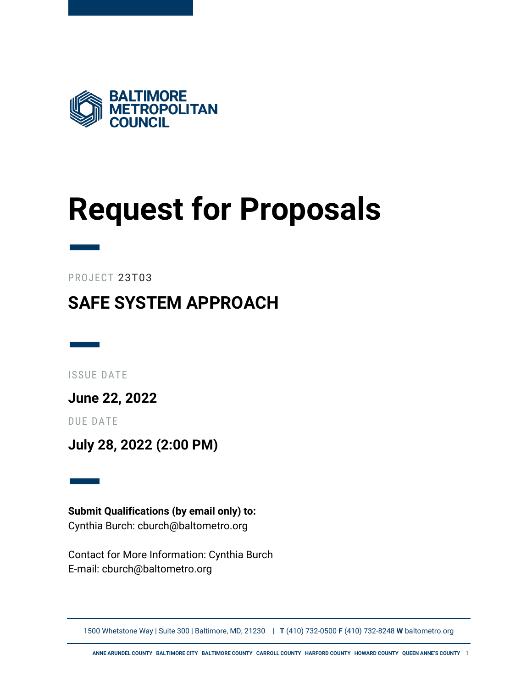

## <span id="page-0-0"></span>**Request for Proposals**

— PROJECT 23T03

### **SAFE SYSTEM APPROACH**

— ISSUE DATE

**June 22, 2022**

DUE DATE

**July 28, 2022 (2:00 PM)**

— **Submit Qualifications (by email only) to:** Cynthia Burch: cburch@baltometro.org

Contact for More Information: Cynthia Burch E-mail: cburch@baltometro.org

1500 Whetstone Way | Suite 300 | Baltimore, MD, 21230 | **T** (410) 732-0500 **F** (410) 732-8248 **W** baltometro.org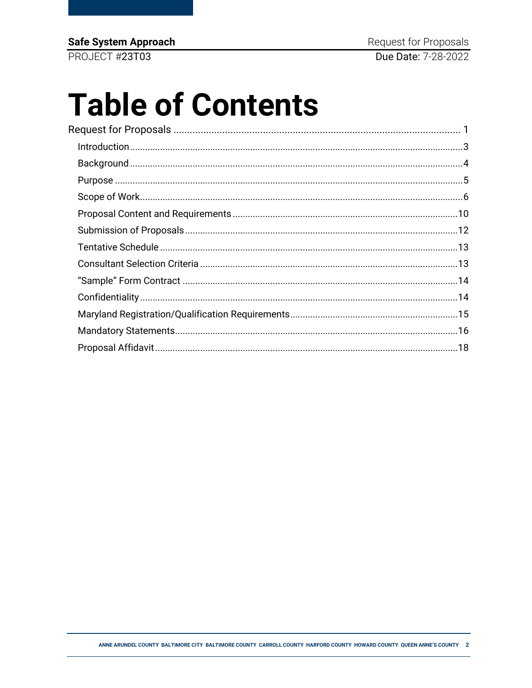Safe System Approach

PROJECT #23T03

# **Table of Contents**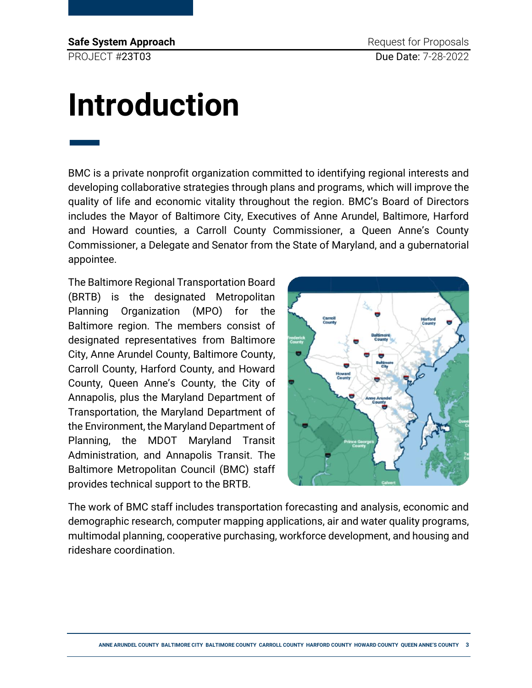**Safe System Approach Request for Proposals** PROJECT #23T03 Due Date: 7-28-2022

—

## <span id="page-2-0"></span>**Introduction**

BMC is a private nonprofit organization committed to identifying regional interests and developing collaborative strategies through plans and programs, which will improve the quality of life and economic vitality throughout the region. BMC's Board of Directors includes the Mayor of Baltimore City, Executives of Anne Arundel, Baltimore, Harford and Howard counties, a Carroll County Commissioner, a Queen Anne's County Commissioner, a Delegate and Senator from the State of Maryland, and a gubernatorial appointee.

The Baltimore Regional Transportation Board (BRTB) is the designated Metropolitan Planning Organization (MPO) for the Baltimore region. The members consist of designated representatives from Baltimore City, Anne Arundel County, Baltimore County, Carroll County, Harford County, and Howard County, Queen Anne's County, the City of Annapolis, plus the Maryland Department of Transportation, the Maryland Department of the Environment, the Maryland Department of Planning, the MDOT Maryland Transit Administration, and Annapolis Transit. The Baltimore Metropolitan Council (BMC) staff provides technical support to the BRTB.



The work of BMC staff includes transportation forecasting and analysis, economic and demographic research, computer mapping applications, air and water quality programs, multimodal planning, cooperative purchasing, workforce development, and housing and rideshare coordination.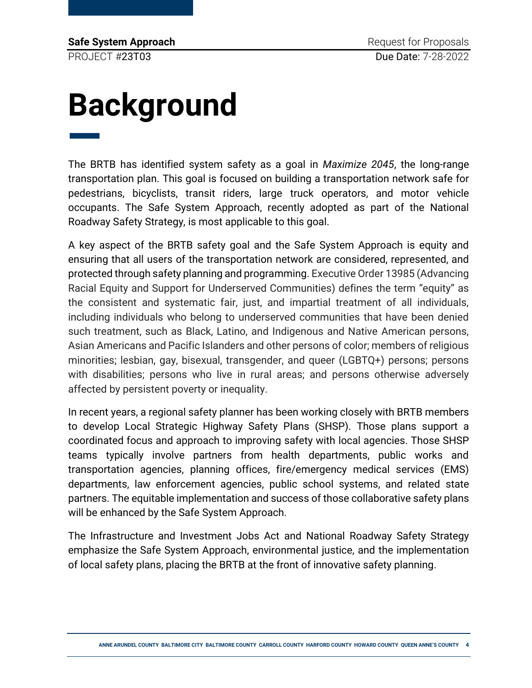**Safe System Approach Request for Proposals** PROJECT #23T03 Due Date: 7-28-2022

# <span id="page-3-0"></span>**Background** —

The BRTB has identified system safety as a goal in *Maximize 2045*, the long-range transportation plan. This goal is focused on building a transportation network safe for pedestrians, bicyclists, transit riders, large truck operators, and motor vehicle occupants. The Safe System Approach, recently adopted as part of the National Roadway Safety Strategy, is most applicable to this goal.

A key aspect of the BRTB safety goal and the Safe System Approach is equity and ensuring that all users of the transportation network are considered, represented, and protected through safety planning and programming. Executive Order 13985 (Advancing Racial Equity and Support for Underserved Communities) defines the term "equity" as the consistent and systematic fair, just, and impartial treatment of all individuals, including individuals who belong to underserved communities that have been denied such treatment, such as Black, Latino, and Indigenous and Native American persons, Asian Americans and Pacific Islanders and other persons of color; members of religious minorities; lesbian, gay, bisexual, transgender, and queer (LGBTQ+) persons; persons with disabilities; persons who live in rural areas; and persons otherwise adversely affected by persistent poverty or inequality.

In recent years, a regional safety planner has been working closely with BRTB members to develop Local Strategic Highway Safety Plans (SHSP). Those plans support a coordinated focus and approach to improving safety with local agencies. Those SHSP teams typically involve partners from health departments, public works and transportation agencies, planning offices, fire/emergency medical services (EMS) departments, law enforcement agencies, public school systems, and related state partners. The equitable implementation and success of those collaborative safety plans will be enhanced by the Safe System Approach.

The Infrastructure and Investment Jobs Act and National Roadway Safety Strategy emphasize the Safe System Approach, environmental justice, and the implementation of local safety plans, placing the BRTB at the front of innovative safety planning.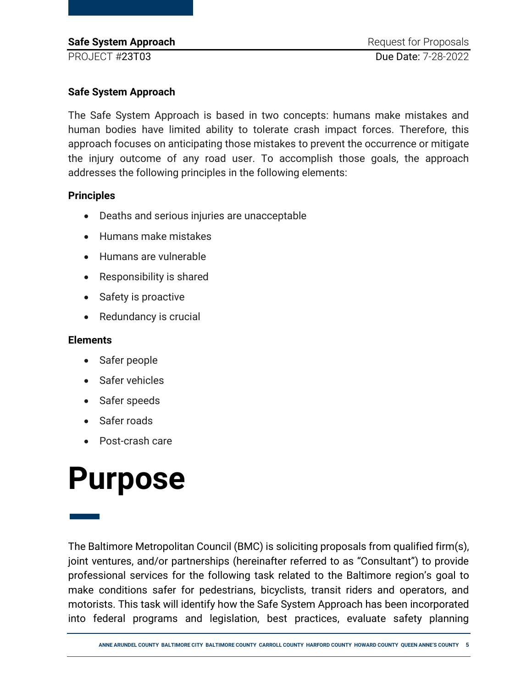### **Safe System Approach**

The Safe System Approach is based in two concepts: humans make mistakes and human bodies have limited ability to tolerate crash impact forces. Therefore, this approach focuses on anticipating those mistakes to prevent the occurrence or mitigate the injury outcome of any road user. To accomplish those goals, the approach addresses the following principles in the following elements:

#### **Principles**

- Deaths and serious injuries are unacceptable
- Humans make mistakes
- Humans are vulnerable
- Responsibility is shared
- Safety is proactive
- Redundancy is crucial

#### **Elements**

- Safer people
- Safer vehicles
- Safer speeds
- Safer roads
- Post-crash care

### <span id="page-4-0"></span>**Purpose**

— The Baltimore Metropolitan Council (BMC) is soliciting proposals from qualified firm(s), joint ventures, and/or partnerships (hereinafter referred to as "Consultant") to provide professional services for the following task related to the Baltimore region's goal to make conditions safer for pedestrians, bicyclists, transit riders and operators, and motorists. This task will identify how the Safe System Approach has been incorporated into federal programs and legislation, best practices, evaluate safety planning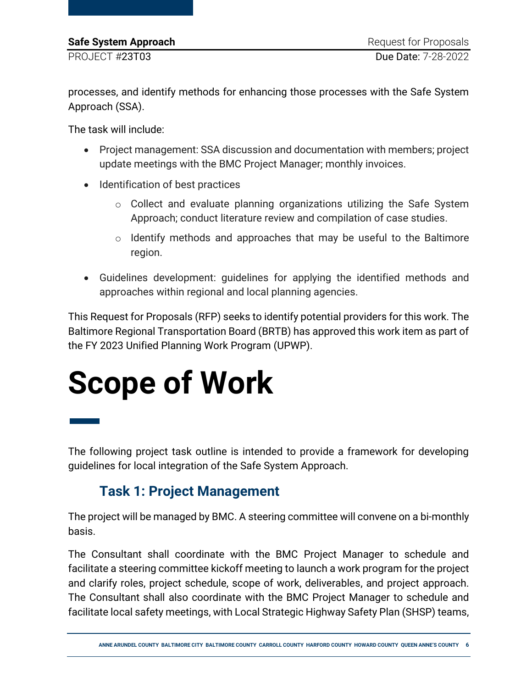processes, and identify methods for enhancing those processes with the Safe System Approach (SSA).

The task will include:

- Project management: SSA discussion and documentation with members; project update meetings with the BMC Project Manager; monthly invoices.
- Identification of best practices
	- o Collect and evaluate planning organizations utilizing the Safe System Approach; conduct literature review and compilation of case studies.
	- $\circ$  Identify methods and approaches that may be useful to the Baltimore region.
- Guidelines development: guidelines for applying the identified methods and approaches within regional and local planning agencies.

This Request for Proposals (RFP) seeks to identify potential providers for this work. The Baltimore Regional Transportation Board (BRTB) has approved this work item as part of the FY 2023 Unified Planning Work Program (UPWP).

# <span id="page-5-0"></span>**Scope of Work**

— The following project task outline is intended to provide a framework for developing guidelines for local integration of the Safe System Approach.

### **Task 1: Project Management**

The project will be managed by BMC. A steering committee will convene on a bi-monthly basis.

The Consultant shall coordinate with the BMC Project Manager to schedule and facilitate a steering committee kickoff meeting to launch a work program for the project and clarify roles, project schedule, scope of work, deliverables, and project approach. The Consultant shall also coordinate with the BMC Project Manager to schedule and facilitate local safety meetings, with Local Strategic Highway Safety Plan (SHSP) teams,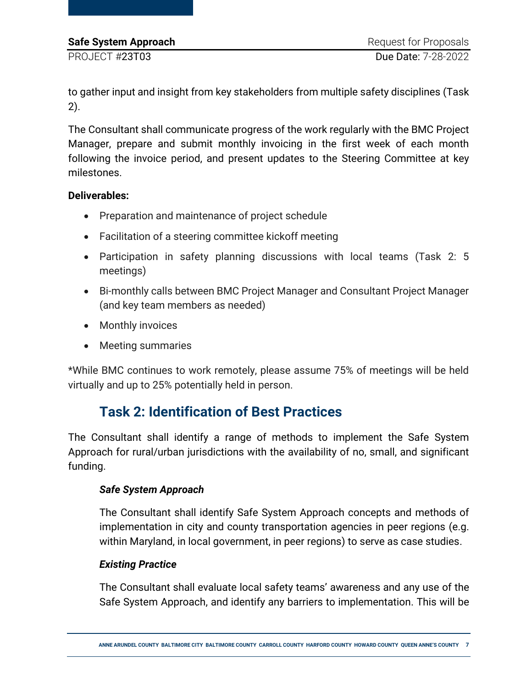to gather input and insight from key stakeholders from multiple safety disciplines (Task 2).

The Consultant shall communicate progress of the work regularly with the BMC Project Manager, prepare and submit monthly invoicing in the first week of each month following the invoice period, and present updates to the Steering Committee at key milestones.

#### **Deliverables:**

- Preparation and maintenance of project schedule
- Facilitation of a steering committee kickoff meeting
- Participation in safety planning discussions with local teams (Task 2: 5 meetings)
- Bi-monthly calls between BMC Project Manager and Consultant Project Manager (and key team members as needed)
- Monthly invoices
- Meeting summaries

\*While BMC continues to work remotely, please assume 75% of meetings will be held virtually and up to 25% potentially held in person.

### **Task 2: Identification of Best Practices**

The Consultant shall identify a range of methods to implement the Safe System Approach for rural/urban jurisdictions with the availability of no, small, and significant funding.

### *Safe System Approach*

The Consultant shall identify Safe System Approach concepts and methods of implementation in city and county transportation agencies in peer regions (e.g. within Maryland, in local government, in peer regions) to serve as case studies.

#### *Existing Practice*

The Consultant shall evaluate local safety teams' awareness and any use of the Safe System Approach, and identify any barriers to implementation. This will be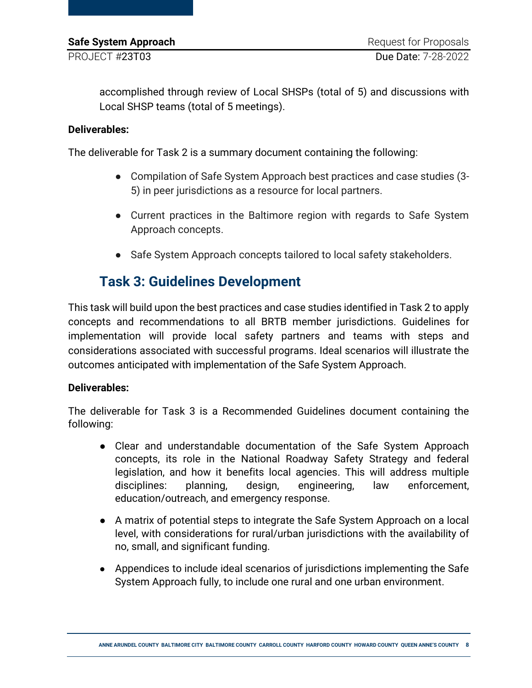accomplished through review of Local SHSPs (total of 5) and discussions with Local SHSP teams (total of 5 meetings).

#### **Deliverables:**

The deliverable for Task 2 is a summary document containing the following:

- Compilation of Safe System Approach best practices and case studies (3- 5) in peer jurisdictions as a resource for local partners.
- Current practices in the Baltimore region with regards to Safe System Approach concepts.
- Safe System Approach concepts tailored to local safety stakeholders.

### **Task 3: Guidelines Development**

This task will build upon the best practices and case studies identified in Task 2 to apply concepts and recommendations to all BRTB member jurisdictions. Guidelines for implementation will provide local safety partners and teams with steps and considerations associated with successful programs. Ideal scenarios will illustrate the outcomes anticipated with implementation of the Safe System Approach.

### **Deliverables:**

The deliverable for Task 3 is a Recommended Guidelines document containing the following:

- Clear and understandable documentation of the Safe System Approach concepts, its role in the National Roadway Safety Strategy and federal legislation, and how it benefits local agencies. This will address multiple disciplines: planning, design, engineering, law enforcement, education/outreach, and emergency response.
- A matrix of potential steps to integrate the Safe System Approach on a local level, with considerations for rural/urban jurisdictions with the availability of no, small, and significant funding.
- Appendices to include ideal scenarios of jurisdictions implementing the Safe System Approach fully, to include one rural and one urban environment.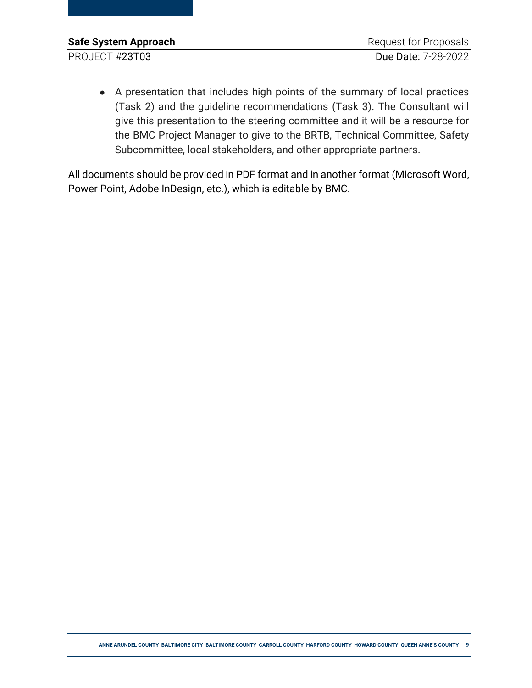● A presentation that includes high points of the summary of local practices (Task 2) and the guideline recommendations (Task 3). The Consultant will give this presentation to the steering committee and it will be a resource for the BMC Project Manager to give to the BRTB, Technical Committee, Safety Subcommittee, local stakeholders, and other appropriate partners.

All documents should be provided in PDF format and in another format (Microsoft Word, Power Point, Adobe InDesign, etc.), which is editable by BMC.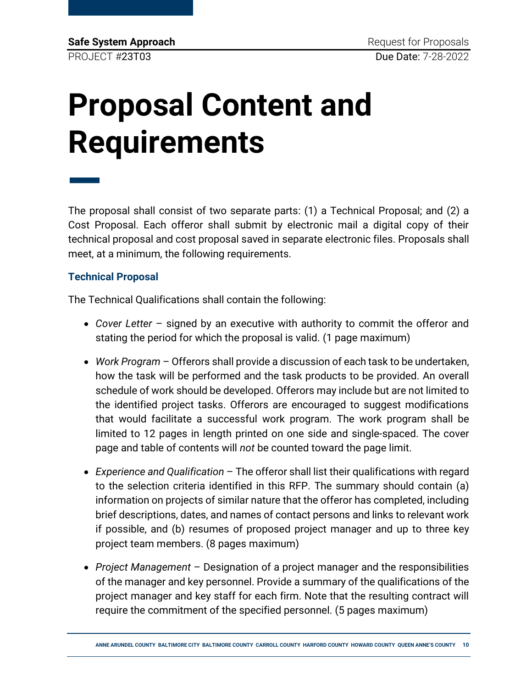# <span id="page-9-0"></span>**Proposal Content and Requirements**

The proposal shall consist of two separate parts: (1) a Technical Proposal; and (2) a Cost Proposal. Each offeror shall submit by electronic mail a digital copy of their technical proposal and cost proposal saved in separate electronic files. Proposals shall meet, at a minimum, the following requirements.

### **Technical Proposal**

—

The Technical Qualifications shall contain the following:

- *Cover Letter*  signed by an executive with authority to commit the offeror and stating the period for which the proposal is valid. (1 page maximum)
- *Work Program* Offerors shall provide a discussion of each task to be undertaken, how the task will be performed and the task products to be provided. An overall schedule of work should be developed. Offerors may include but are not limited to the identified project tasks. Offerors are encouraged to suggest modifications that would facilitate a successful work program. The work program shall be limited to 12 pages in length printed on one side and single-spaced. The cover page and table of contents will *not* be counted toward the page limit.
- *Experience and Qualification* The offeror shall list their qualifications with regard to the selection criteria identified in this RFP. The summary should contain (a) information on projects of similar nature that the offeror has completed, including brief descriptions, dates, and names of contact persons and links to relevant work if possible, and (b) resumes of proposed project manager and up to three key project team members. (8 pages maximum)
- *Project Management*  Designation of a project manager and the responsibilities of the manager and key personnel. Provide a summary of the qualifications of the project manager and key staff for each firm. Note that the resulting contract will require the commitment of the specified personnel. (5 pages maximum)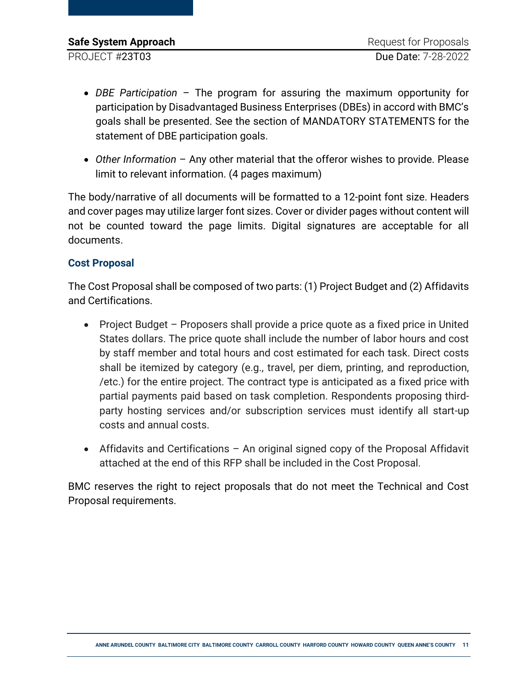- *DBE Participation*  The program for assuring the maximum opportunity for participation by Disadvantaged Business Enterprises (DBEs) in accord with BMC's goals shall be presented. See the section of MANDATORY STATEMENTS for the statement of DBE participation goals.
- *Other Information* Any other material that the offeror wishes to provide. Please limit to relevant information. (4 pages maximum)

The body/narrative of all documents will be formatted to a 12-point font size. Headers and cover pages may utilize larger font sizes. Cover or divider pages without content will not be counted toward the page limits. Digital signatures are acceptable for all documents.

### **Cost Proposal**

The Cost Proposal shall be composed of two parts: (1) Project Budget and (2) Affidavits and Certifications.

- Project Budget Proposers shall provide a price quote as a fixed price in United States dollars. The price quote shall include the number of labor hours and cost by staff member and total hours and cost estimated for each task. Direct costs shall be itemized by category (e.g., travel, per diem, printing, and reproduction, /etc.) for the entire project. The contract type is anticipated as a fixed price with partial payments paid based on task completion. Respondents proposing thirdparty hosting services and/or subscription services must identify all start-up costs and annual costs.
- Affidavits and Certifications An original signed copy of the Proposal Affidavit attached at the end of this RFP shall be included in the Cost Proposal.

BMC reserves the right to reject proposals that do not meet the Technical and Cost Proposal requirements.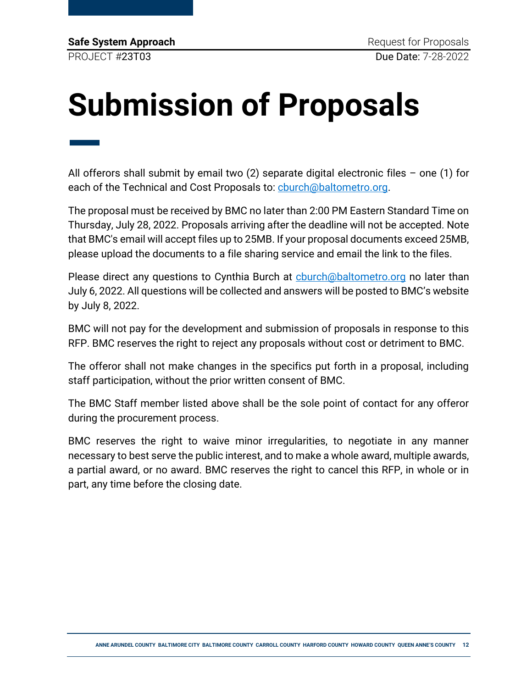# <span id="page-11-0"></span>**Submission of Proposals**

— All offerors shall submit by email two  $(2)$  separate digital electronic files – one  $(1)$  for each of the Technical and Cost Proposals to: [cburch@baltometro.org.](mailto:cburch@baltometro.org)

The proposal must be received by BMC no later than 2:00 PM Eastern Standard Time on Thursday, July 28, 2022. Proposals arriving after the deadline will not be accepted. Note that BMC's email will accept files up to 25MB. If your proposal documents exceed 25MB, please upload the documents to a file sharing service and email the link to the files.

Please direct any questions to Cynthia Burch at church@baltometro.org no later than July 6, 2022. All questions will be collected and answers will be posted to BMC's website by July 8, 2022.

BMC will not pay for the development and submission of proposals in response to this RFP. BMC reserves the right to reject any proposals without cost or detriment to BMC.

The offeror shall not make changes in the specifics put forth in a proposal, including staff participation, without the prior written consent of BMC.

The BMC Staff member listed above shall be the sole point of contact for any offeror during the procurement process.

BMC reserves the right to waive minor irregularities, to negotiate in any manner necessary to best serve the public interest, and to make a whole award, multiple awards, a partial award, or no award. BMC reserves the right to cancel this RFP, in whole or in part, any time before the closing date.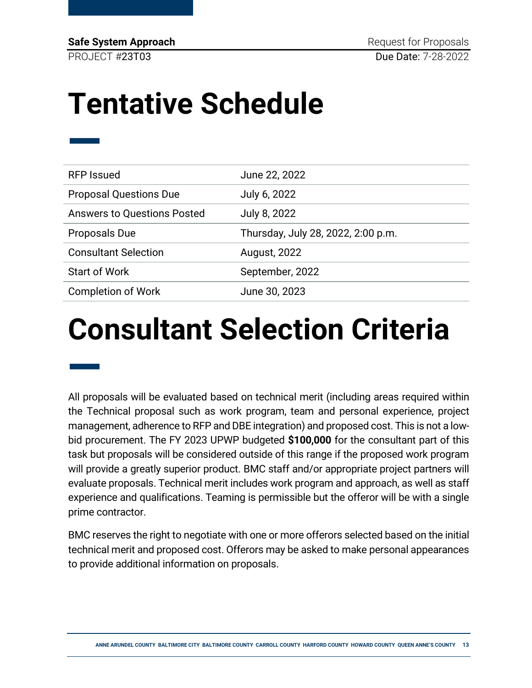**Safe System Approach Request for Proposals** PROJECT #23T03 Due Date: 7-28-2022

### <span id="page-12-0"></span>**Tentative Schedule**

| <b>RFP Issued</b>                  | June 22, 2022                      |
|------------------------------------|------------------------------------|
| <b>Proposal Questions Due</b>      | July 6, 2022                       |
| <b>Answers to Questions Posted</b> | July 8, 2022                       |
| <b>Proposals Due</b>               | Thursday, July 28, 2022, 2:00 p.m. |
| <b>Consultant Selection</b>        | August, 2022                       |
| <b>Start of Work</b>               | September, 2022                    |
| <b>Completion of Work</b>          | June 30, 2023                      |

### <span id="page-12-1"></span>**Consultant Selection Criteria**

— All proposals will be evaluated based on technical merit (including areas required within the Technical proposal such as work program, team and personal experience, project management, adherence to RFP and DBE integration) and proposed cost. This is not a lowbid procurement. The FY 2023 UPWP budgeted **\$100,000** for the consultant part of this task but proposals will be considered outside of this range if the proposed work program will provide a greatly superior product. BMC staff and/or appropriate project partners will evaluate proposals. Technical merit includes work program and approach, as well as staff experience and qualifications. Teaming is permissible but the offeror will be with a single prime contractor.

BMC reserves the right to negotiate with one or more offerors selected based on the initial technical merit and proposed cost. Offerors may be asked to make personal appearances to provide additional information on proposals.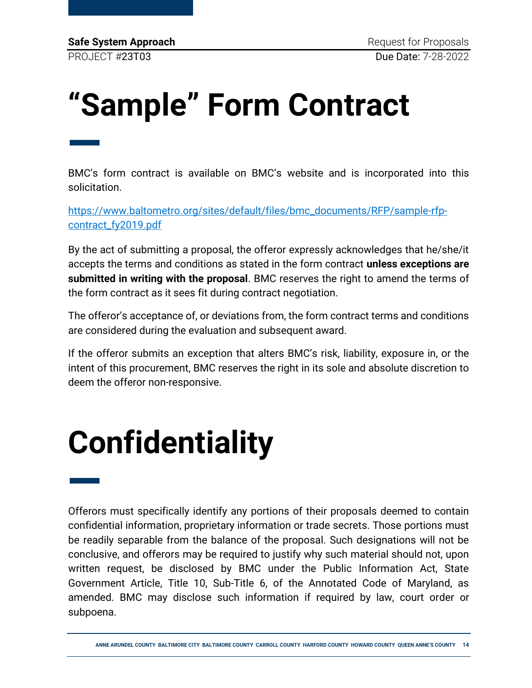# <span id="page-13-0"></span>**"Sample" Form Contract**

— BMC's form contract is available on BMC's website and is incorporated into this solicitation.

[https://www.baltometro.org/sites/default/files/bmc\\_documents/RFP/sample-rfp](https://www.baltometro.org/sites/default/files/bmc_documents/RFP/sample-rfp-contract_fy2019.pdf)[contract\\_fy2019.pdf](https://www.baltometro.org/sites/default/files/bmc_documents/RFP/sample-rfp-contract_fy2019.pdf)

By the act of submitting a proposal, the offeror expressly acknowledges that he/she/it accepts the terms and conditions as stated in the form contract **unless exceptions are submitted in writing with the proposal**. BMC reserves the right to amend the terms of the form contract as it sees fit during contract negotiation.

The offeror's acceptance of, or deviations from, the form contract terms and conditions are considered during the evaluation and subsequent award.

If the offeror submits an exception that alters BMC's risk, liability, exposure in, or the intent of this procurement, BMC reserves the right in its sole and absolute discretion to deem the offeror non-responsive.

# <span id="page-13-1"></span>**Confidentiality**

— Offerors must specifically identify any portions of their proposals deemed to contain confidential information, proprietary information or trade secrets. Those portions must be readily separable from the balance of the proposal. Such designations will not be conclusive, and offerors may be required to justify why such material should not, upon written request, be disclosed by BMC under the Public Information Act, State Government Article, Title 10, Sub-Title 6, of the Annotated Code of Maryland, as amended. BMC may disclose such information if required by law, court order or subpoena.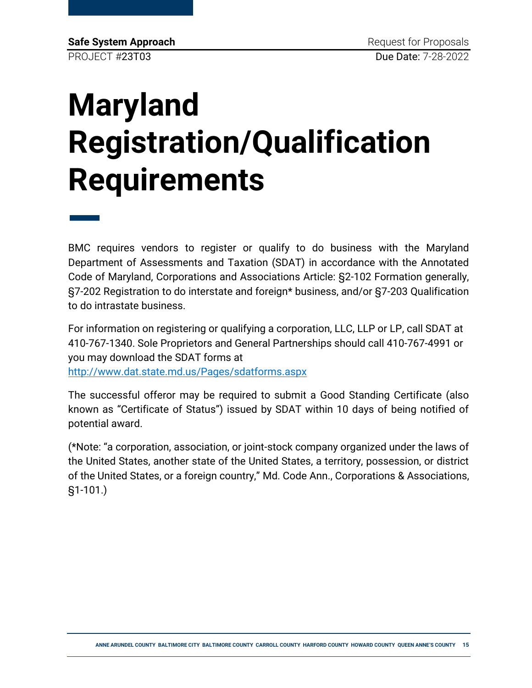# <span id="page-14-0"></span>**Maryland Registration/Qualification Requirements**

— BMC requires vendors to register or qualify to do business with the Maryland Department of Assessments and Taxation (SDAT) in accordance with the Annotated Code of Maryland, Corporations and Associations Article: §2-102 Formation generally, §7-202 Registration to do interstate and foreign\* business, and/or §7-203 Qualification to do intrastate business.

For information on registering or qualifying a corporation, LLC, LLP or LP, call SDAT at 410-767-1340. Sole Proprietors and General Partnerships should call 410-767-4991 or you may download the SDAT forms at

<http://www.dat.state.md.us/Pages/sdatforms.aspx>

The successful offeror may be required to submit a Good Standing Certificate (also known as "Certificate of Status") issued by SDAT within 10 days of being notified of potential award.

(\*Note: "a corporation, association, or joint-stock company organized under the laws of the United States, another state of the United States, a territory, possession, or district of the United States, or a foreign country," Md. Code Ann., Corporations & Associations, §1-101.)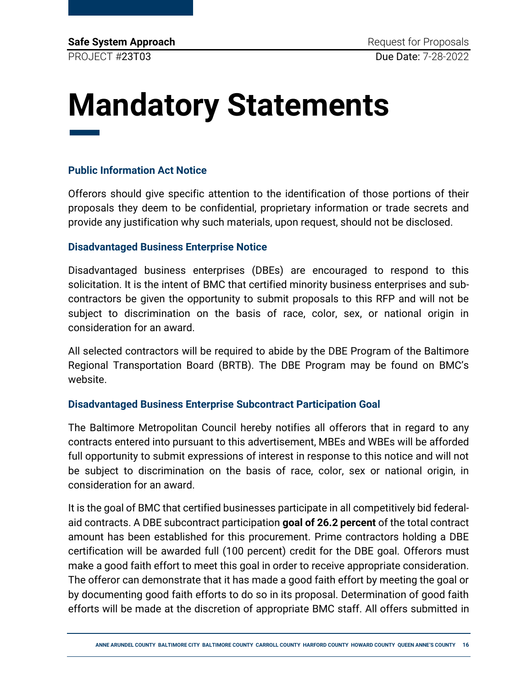### <span id="page-15-0"></span>**Mandatory Statements** ——<br>——

#### **Public Information Act Notice**

Offerors should give specific attention to the identification of those portions of their proposals they deem to be confidential, proprietary information or trade secrets and provide any justification why such materials, upon request, should not be disclosed.

#### **Disadvantaged Business Enterprise Notice**

Disadvantaged business enterprises (DBEs) are encouraged to respond to this solicitation. It is the intent of BMC that certified minority business enterprises and subcontractors be given the opportunity to submit proposals to this RFP and will not be subject to discrimination on the basis of race, color, sex, or national origin in consideration for an award.

All selected contractors will be required to abide by the DBE Program of the Baltimore Regional Transportation Board (BRTB). The DBE Program may be found on BMC's website.

#### **Disadvantaged Business Enterprise Subcontract Participation Goal**

The Baltimore Metropolitan Council hereby notifies all offerors that in regard to any contracts entered into pursuant to this advertisement, MBEs and WBEs will be afforded full opportunity to submit expressions of interest in response to this notice and will not be subject to discrimination on the basis of race, color, sex or national origin, in consideration for an award.

It is the goal of BMC that certified businesses participate in all competitively bid federalaid contracts. A DBE subcontract participation **goal of 26.2 percent** of the total contract amount has been established for this procurement. Prime contractors holding a DBE certification will be awarded full (100 percent) credit for the DBE goal. Offerors must make a good faith effort to meet this goal in order to receive appropriate consideration. The offeror can demonstrate that it has made a good faith effort by meeting the goal or by documenting good faith efforts to do so in its proposal. Determination of good faith efforts will be made at the discretion of appropriate BMC staff. All offers submitted in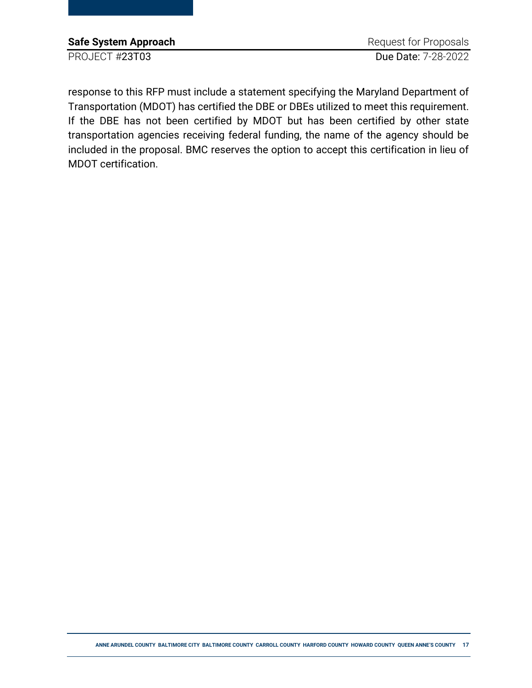| Safe System Approach | Request for Proposals |
|----------------------|-----------------------|
| PROJECT #23T03       | Due Date: 7-28-2022   |

response to this RFP must include a statement specifying the Maryland Department of Transportation (MDOT) has certified the DBE or DBEs utilized to meet this requirement. If the DBE has not been certified by MDOT but has been certified by other state transportation agencies receiving federal funding, the name of the agency should be included in the proposal. BMC reserves the option to accept this certification in lieu of MDOT certification.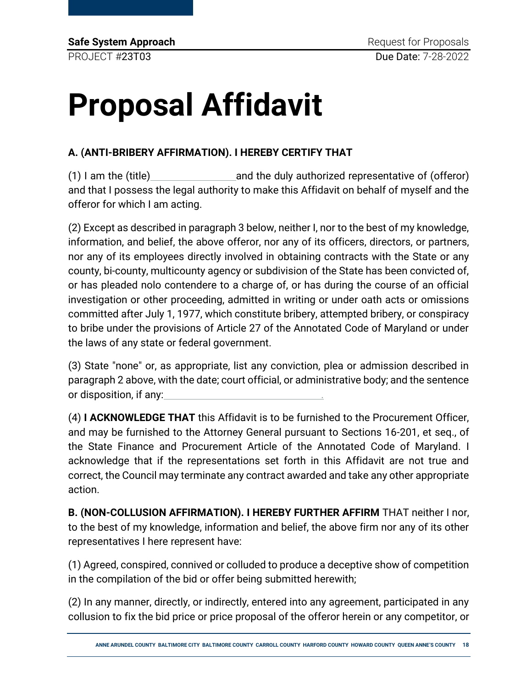# <span id="page-17-0"></span>**Proposal Affidavit**

### **A. (ANTI-BRIBERY AFFIRMATION). I HEREBY CERTIFY THAT**

(1) I am the (title)  $\qquad \qquad \qquad$  and the duly authorized representative of (offeror) and that I possess the legal authority to make this Affidavit on behalf of myself and the offeror for which I am acting.

(2) Except as described in paragraph 3 below, neither I, nor to the best of my knowledge, information, and belief, the above offeror, nor any of its officers, directors, or partners, nor any of its employees directly involved in obtaining contracts with the State or any county, bi-county, multicounty agency or subdivision of the State has been convicted of, or has pleaded nolo contendere to a charge of, or has during the course of an official investigation or other proceeding, admitted in writing or under oath acts or omissions committed after July 1, 1977, which constitute bribery, attempted bribery, or conspiracy to bribe under the provisions of Article 27 of the Annotated Code of Maryland or under the laws of any state or federal government.

(3) State "none" or, as appropriate, list any conviction, plea or admission described in paragraph 2 above, with the date; court official, or administrative body; and the sentence or disposition, if any:

(4) **I ACKNOWLEDGE THAT** this Affidavit is to be furnished to the Procurement Officer, and may be furnished to the Attorney General pursuant to Sections 16-201, et seq., of the State Finance and Procurement Article of the Annotated Code of Maryland. I acknowledge that if the representations set forth in this Affidavit are not true and correct, the Council may terminate any contract awarded and take any other appropriate action.

**B. (NON-COLLUSION AFFIRMATION). I HEREBY FURTHER AFFIRM** THAT neither I nor, to the best of my knowledge, information and belief, the above firm nor any of its other representatives I here represent have:

(1) Agreed, conspired, connived or colluded to produce a deceptive show of competition in the compilation of the bid or offer being submitted herewith;

(2) In any manner, directly, or indirectly, entered into any agreement, participated in any collusion to fix the bid price or price proposal of the offeror herein or any competitor, or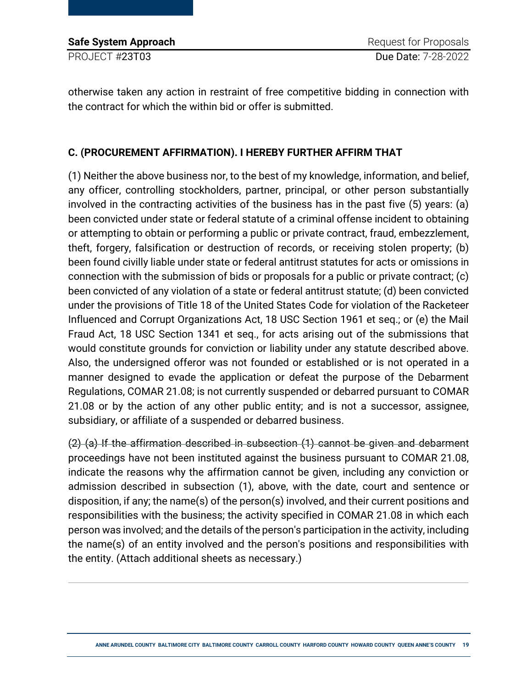| <b>Safe System Approach</b> |
|-----------------------------|
| PROJECT #23T03              |

otherwise taken any action in restraint of free competitive bidding in connection with the contract for which the within bid or offer is submitted.

### **C. (PROCUREMENT AFFIRMATION). I HEREBY FURTHER AFFIRM THAT**

(1) Neither the above business nor, to the best of my knowledge, information, and belief, any officer, controlling stockholders, partner, principal, or other person substantially involved in the contracting activities of the business has in the past five (5) years: (a) been convicted under state or federal statute of a criminal offense incident to obtaining or attempting to obtain or performing a public or private contract, fraud, embezzlement, theft, forgery, falsification or destruction of records, or receiving stolen property; (b) been found civilly liable under state or federal antitrust statutes for acts or omissions in connection with the submission of bids or proposals for a public or private contract; (c) been convicted of any violation of a state or federal antitrust statute; (d) been convicted under the provisions of Title 18 of the United States Code for violation of the Racketeer Influenced and Corrupt Organizations Act, 18 USC Section 1961 et seq.; or (e) the Mail Fraud Act, 18 USC Section 1341 et seq., for acts arising out of the submissions that would constitute grounds for conviction or liability under any statute described above. Also, the undersigned offeror was not founded or established or is not operated in a manner designed to evade the application or defeat the purpose of the Debarment Regulations, COMAR 21.08; is not currently suspended or debarred pursuant to COMAR 21.08 or by the action of any other public entity; and is not a successor, assignee, subsidiary, or affiliate of a suspended or debarred business.

(2) (a) If the affirmation described in subsection (1) cannot be given and debarment proceedings have not been instituted against the business pursuant to COMAR 21.08, indicate the reasons why the affirmation cannot be given, including any conviction or admission described in subsection (1), above, with the date, court and sentence or disposition, if any; the name(s) of the person(s) involved, and their current positions and responsibilities with the business; the activity specified in COMAR 21.08 in which each person was involved; and the details of the person's participation in the activity, including the name(s) of an entity involved and the person's positions and responsibilities with the entity. (Attach additional sheets as necessary.)